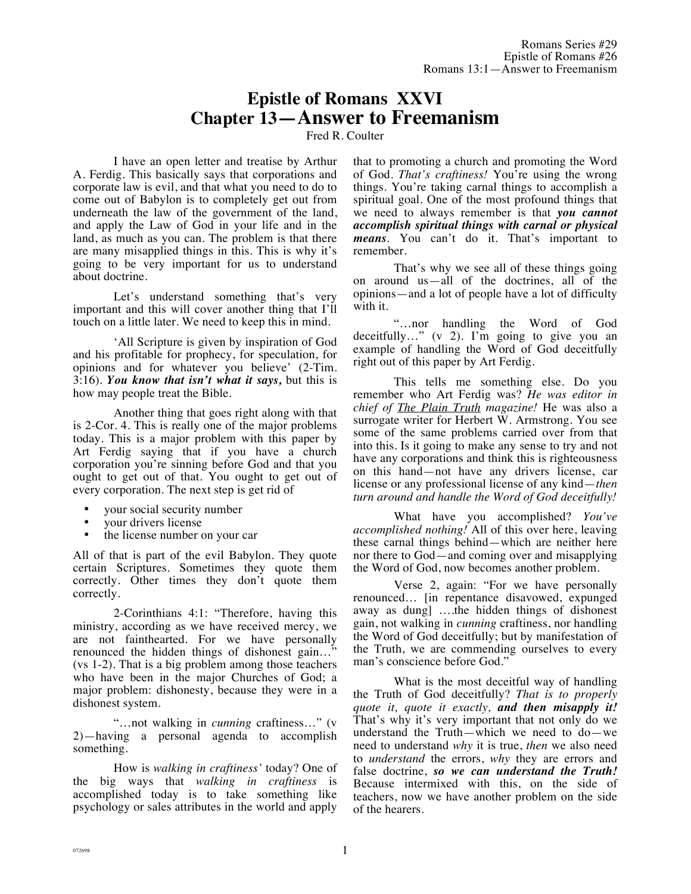# **Epistle of Romans XXVI Chapter 13—Answer to Freemanism**

Fred R. Coulter

I have an open letter and treatise by Arthur A. Ferdig. This basically says that corporations and corporate law is evil, and that what you need to do to come out of Babylon is to completely get out from underneath the law of the government of the land, and apply the Law of God in your life and in the land, as much as you can. The problem is that there are many misapplied things in this. This is why it's going to be very important for us to understand about doctrine.

Let's understand something that's very important and this will cover another thing that I'll touch on a little later. We need to keep this in mind.

'All Scripture is given by inspiration of God and his profitable for prophecy, for speculation, for opinions and for whatever you believe' (2-Tim. 3:16). *You know that isn't what it says,* but this is how may people treat the Bible.

Another thing that goes right along with that is 2-Cor. 4. This is really one of the major problems today. This is a major problem with this paper by Art Ferdig saying that if you have a church corporation you're sinning before God and that you ought to get out of that. You ought to get out of every corporation. The next step is get rid of

- your social security number
- your drivers license
- the license number on your car

All of that is part of the evil Babylon. They quote certain Scriptures. Sometimes they quote them correctly. Other times they don't quote them correctly.

2-Corinthians 4:1: "Therefore, having this ministry, according as we have received mercy, we are not fainthearted. For we have personally renounced the hidden things of dishonest gain…" (vs 1-2). That is a big problem among those teachers who have been in the major Churches of God; a major problem: dishonesty, because they were in a dishonest system.

"…not walking in *cunning* craftiness…" (v 2)—having a personal agenda to accomplish something.

How is *walking in craftiness'* today? One of the big ways that *walking in craftiness* is accomplished today is to take something like psychology or sales attributes in the world and apply that to promoting a church and promoting the Word of God. *That's craftiness!* You're using the wrong things. You're taking carnal things to accomplish a spiritual goal. One of the most profound things that we need to always remember is that *you cannot accomplish spiritual things with carnal or physical means*. You can't do it. That's important to remember.

That's why we see all of these things going on around us—all of the doctrines, all of the opinions—and a lot of people have a lot of difficulty with it.

"…nor handling the Word of God deceitfully…" (v 2). I'm going to give you an example of handling the Word of God deceitfully right out of this paper by Art Ferdig.

This tells me something else. Do you remember who Art Ferdig was? *He was editor in chief of The Plain Truth magazine!* He was also a surrogate writer for Herbert W. Armstrong. You see some of the same problems carried over from that into this. Is it going to make any sense to try and not have any corporations and think this is righteousness on this hand—not have any drivers license, car license or any professional license of any kind—*then turn around and handle the Word of God deceitfully!*

What have you accomplished? *You've accomplished nothing!* All of this over here, leaving these carnal things behind—which are neither here nor there to God—and coming over and misapplying the Word of God, now becomes another problem.

Verse 2, again: "For we have personally renounced… [in repentance disavowed, expunged away as dung] ….the hidden things of dishonest gain, not walking in *cunning* craftiness, nor handling the Word of God deceitfully; but by manifestation of the Truth, we are commending ourselves to every man's conscience before God."

What is the most deceitful way of handling the Truth of God deceitfully? *That is to properly quote it, quote it exactly, and then misapply it!*  That's why it's very important that not only do we understand the Truth—which we need to do—we need to understand *why* it is true, *then* we also need to *understand* the errors, *why* they are errors and false doctrine, *so we can understand the Truth!*  Because intermixed with this, on the side of teachers, now we have another problem on the side of the hearers.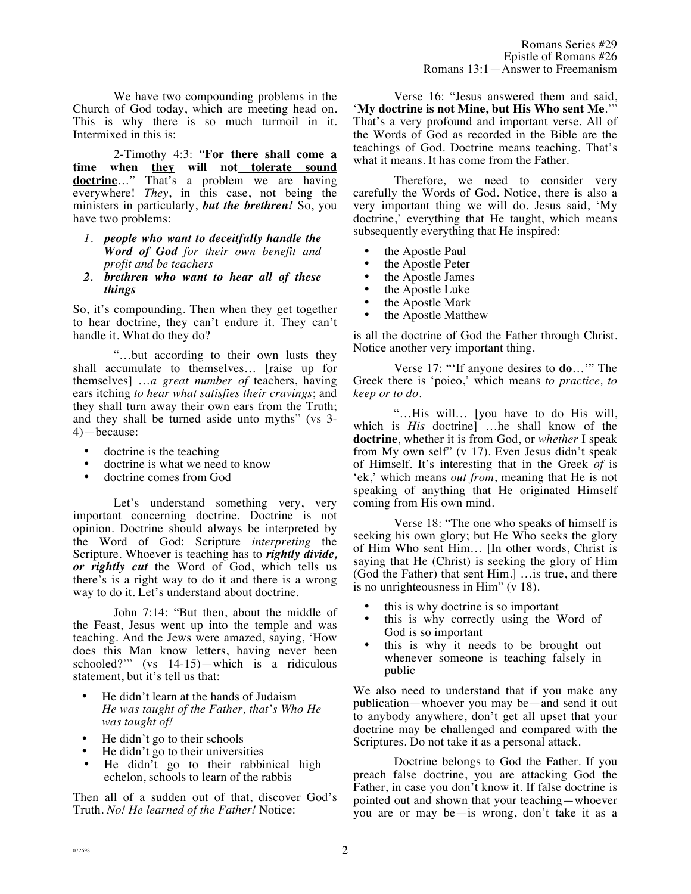We have two compounding problems in the Church of God today, which are meeting head on. This is why there is so much turmoil in it. Intermixed in this is:

2-Timothy 4:3: "**For there shall come a time when they will not tolerate sound doctrine**…" That's a problem we are having everywhere! *They*, in this case, not being the ministers in particularly, *but the brethren!* So, you have two problems:

- *1. people who want to deceitfully handle the Word of God for their own benefit and profit and be teachers*
- *2. brethren who want to hear all of these things*

So, it's compounding. Then when they get together to hear doctrine, they can't endure it. They can't handle it. What do they do?

"…but according to their own lusts they shall accumulate to themselves… [raise up for themselves] …*a great number of* teachers, having ears itching *to hear what satisfies their cravings*; and they shall turn away their own ears from the Truth; and they shall be turned aside unto myths" (vs 3- 4)—because:

- doctrine is the teaching
- doctrine is what we need to know
- doctrine comes from God

Let's understand something very, very important concerning doctrine. Doctrine is not opinion. Doctrine should always be interpreted by the Word of God: Scripture *interpreting* the Scripture. Whoever is teaching has to *rightly divide, or rightly cut* the Word of God, which tells us there's is a right way to do it and there is a wrong way to do it. Let's understand about doctrine.

John 7:14: "But then, about the middle of the Feast, Jesus went up into the temple and was teaching. And the Jews were amazed, saying, 'How does this Man know letters, having never been schooled?" (vs  $14-15$ )—which is a ridiculous statement, but it's tell us that:

- He didn't learn at the hands of Judaism *He was taught of the Father, that's Who He was taught of!*
- He didn't go to their schools
- He didn't go to their universities
- He didn't go to their rabbinical high echelon, schools to learn of the rabbis

Then all of a sudden out of that, discover God's Truth. *No! He learned of the Father!* Notice:

Verse 16: "Jesus answered them and said, '**My doctrine is not Mine, but His Who sent Me**.'" That's a very profound and important verse. All of the Words of God as recorded in the Bible are the teachings of God. Doctrine means teaching. That's what it means. It has come from the Father.

Therefore, we need to consider very carefully the Words of God. Notice, there is also a very important thing we will do. Jesus said, 'My doctrine,' everything that He taught, which means subsequently everything that He inspired:

- the Apostle Paul
- the Apostle Peter
- the Apostle James
- the Apostle Luke
- the Apostle Mark
- the Apostle Matthew

is all the doctrine of God the Father through Christ. Notice another very important thing.

Verse 17: "'If anyone desires to **do**…'" The Greek there is 'poieo,' which means *to practice, to keep or to do*.

"…His will… [you have to do His will, which is *His* doctrine] …he shall know of the **doctrine**, whether it is from God, or *whether* I speak from My own self" (v 17). Even Jesus didn't speak of Himself. It's interesting that in the Greek *of* is 'ek,' which means *out from*, meaning that He is not speaking of anything that He originated Himself coming from His own mind.

Verse 18: "The one who speaks of himself is seeking his own glory; but He Who seeks the glory of Him Who sent Him… [In other words, Christ is saying that He (Christ) is seeking the glory of Him (God the Father) that sent Him.] …is true, and there is no unrighteousness in Him" (v 18).

- this is why doctrine is so important
- this is why correctly using the Word of God is so important
- this is why it needs to be brought out whenever someone is teaching falsely in public

We also need to understand that if you make any publication—whoever you may be—and send it out to anybody anywhere, don't get all upset that your doctrine may be challenged and compared with the Scriptures. Do not take it as a personal attack.

Doctrine belongs to God the Father. If you preach false doctrine, you are attacking God the Father, in case you don't know it. If false doctrine is pointed out and shown that your teaching—whoever you are or may be—is wrong, don't take it as a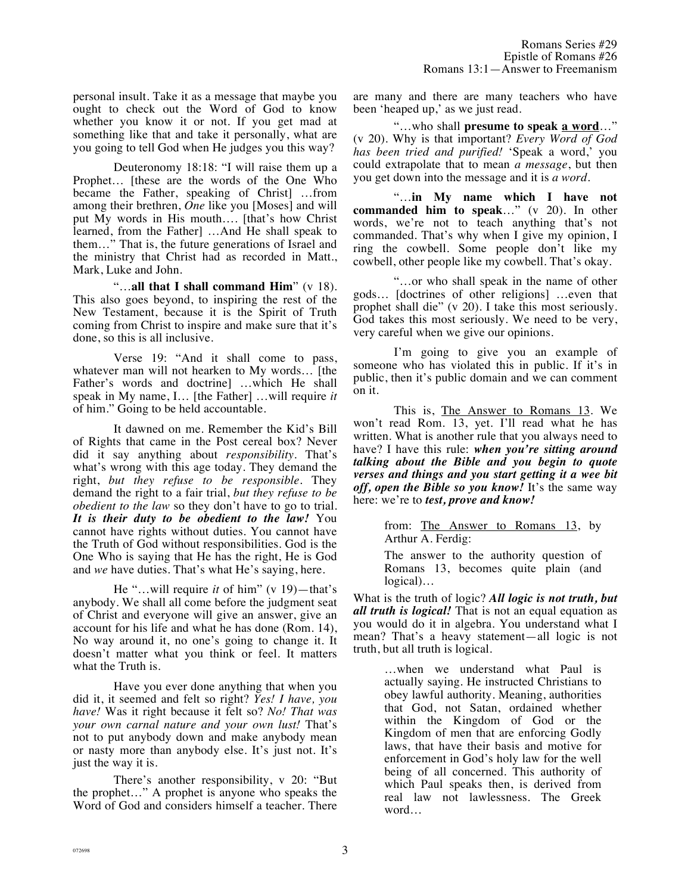personal insult. Take it as a message that maybe you ought to check out the Word of God to know whether you know it or not. If you get mad at something like that and take it personally, what are you going to tell God when He judges you this way?

Deuteronomy 18:18: "I will raise them up a Prophet… [these are the words of the One Who became the Father, speaking of Christ] …from among their brethren, *One* like you [Moses] and will put My words in His mouth…. [that's how Christ learned, from the Father] …And He shall speak to them…" That is, the future generations of Israel and the ministry that Christ had as recorded in Matt., Mark, Luke and John.

"…**all that I shall command Him**" (v 18). This also goes beyond, to inspiring the rest of the New Testament, because it is the Spirit of Truth coming from Christ to inspire and make sure that it's done, so this is all inclusive.

Verse 19: "And it shall come to pass, whatever man will not hearken to My words… [the Father's words and doctrine] …which He shall speak in My name, I… [the Father] …will require *it* of him." Going to be held accountable.

It dawned on me. Remember the Kid's Bill of Rights that came in the Post cereal box? Never did it say anything about *responsibility*. That's what's wrong with this age today. They demand the right, *but they refuse to be responsible.* They demand the right to a fair trial, *but they refuse to be obedient to the law* so they don't have to go to trial. *It is their duty to be obedient to the law!* You cannot have rights without duties. You cannot have the Truth of God without responsibilities. God is the One Who is saying that He has the right, He is God and *we* have duties. That's what He's saying, here.

He "…will require *it* of him" (v 19)—that's anybody. We shall all come before the judgment seat of Christ and everyone will give an answer, give an account for his life and what he has done (Rom. 14), No way around it, no one's going to change it. It doesn't matter what you think or feel. It matters what the Truth is.

Have you ever done anything that when you did it, it seemed and felt so right? *Yes! I have, you have!* Was it right because it felt so? *No! That was your own carnal nature and your own lust!* That's not to put anybody down and make anybody mean or nasty more than anybody else. It's just not. It's just the way it is.

There's another responsibility, v 20: "But the prophet…" A prophet is anyone who speaks the Word of God and considers himself a teacher. There are many and there are many teachers who have been 'heaped up,' as we just read.

"…who shall **presume to speak a word**…" (v 20). Why is that important? *Every Word of God has been tried and purified!* 'Speak a word,' you could extrapolate that to mean *a message*, but then you get down into the message and it is *a word*.

"…**in My name which I have not commanded him to speak**…" (v 20). In other words, we're not to teach anything that's not commanded. That's why when I give my opinion, I ring the cowbell. Some people don't like my cowbell, other people like my cowbell. That's okay.

"…or who shall speak in the name of other gods… [doctrines of other religions] …even that prophet shall die" (v 20). I take this most seriously. God takes this most seriously. We need to be very, very careful when we give our opinions.

I'm going to give you an example of someone who has violated this in public. If it's in public, then it's public domain and we can comment on it.

This is, The Answer to Romans 13. We won't read Rom. 13, yet. I'll read what he has written. What is another rule that you always need to have? I have this rule: *when you're sitting around talking about the Bible and you begin to quote verses and things and you start getting it a wee bit off, open the Bible so you know!* It's the same way here: we're to *test, prove and know!*

> from: The Answer to Romans 13, by Arthur A. Ferdig:

The answer to the authority question of Romans 13, becomes quite plain (and logical)…

What is the truth of logic? *All logic is not truth, but all truth is logical!* That is not an equal equation as you would do it in algebra. You understand what I mean? That's a heavy statement—all logic is not truth, but all truth is logical.

> …when we understand what Paul is actually saying. He instructed Christians to obey lawful authority. Meaning, authorities that God, not Satan, ordained whether within the Kingdom of God or the Kingdom of men that are enforcing Godly laws, that have their basis and motive for enforcement in God's holy law for the well being of all concerned. This authority of which Paul speaks then, is derived from real law not lawlessness. The Greek word…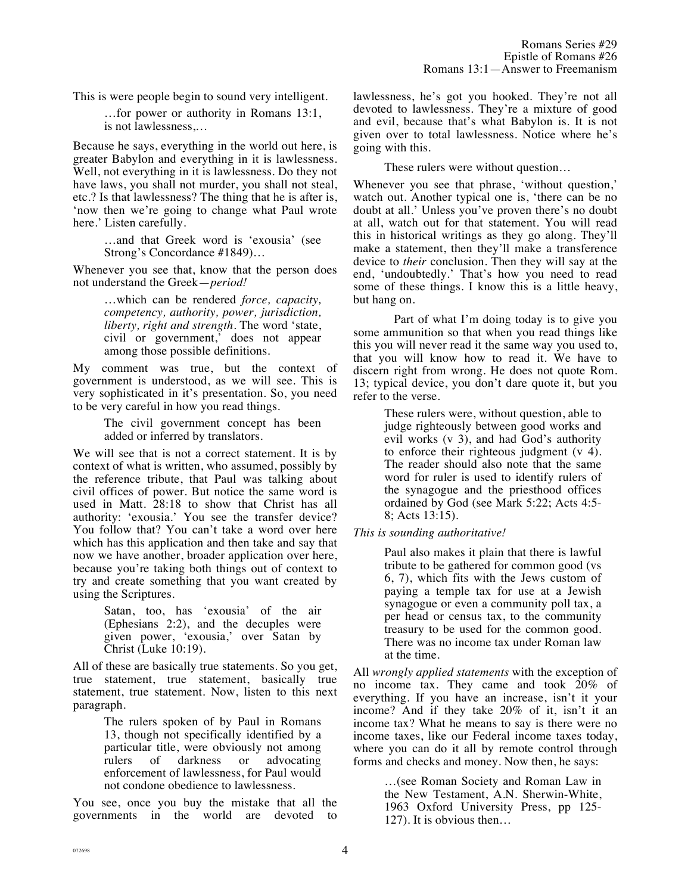This is were people begin to sound very intelligent.

…for power or authority in Romans 13:1, is not lawlessness,…

Because he says, everything in the world out here, is greater Babylon and everything in it is lawlessness. Well, not everything in it is lawlessness. Do they not have laws, you shall not murder, you shall not steal, etc.? Is that lawlessness? The thing that he is after is, 'now then we're going to change what Paul wrote here.' Listen carefully.

> …and that Greek word is 'exousia' (see Strong's Concordance #1849)…

Whenever you see that, know that the person does not understand the Greek—*period!*

> …which can be rendered *force, capacity, competency, authority, power, jurisdiction, liberty, right and strength.* The word 'state, civil or government,' does not appear among those possible definitions.

My comment was true, but the context of government is understood, as we will see. This is very sophisticated in it's presentation. So, you need to be very careful in how you read things.

> The civil government concept has been added or inferred by translators.

We will see that is not a correct statement. It is by context of what is written, who assumed, possibly by the reference tribute, that Paul was talking about civil offices of power. But notice the same word is used in Matt. 28:18 to show that Christ has all authority: 'exousia.' You see the transfer device? You follow that? You can't take a word over here which has this application and then take and say that now we have another, broader application over here, because you're taking both things out of context to try and create something that you want created by using the Scriptures.

> Satan, too, has 'exousia' of the air (Ephesians 2:2), and the decuples were given power, 'exousia,' over Satan by Christ (Luke 10:19).

All of these are basically true statements. So you get, true statement, true statement, basically true statement, true statement. Now, listen to this next paragraph.

> The rulers spoken of by Paul in Romans 13, though not specifically identified by a particular title, were obviously not among rulers of darkness or advocating enforcement of lawlessness, for Paul would not condone obedience to lawlessness.

You see, once you buy the mistake that all the governments in the world are devoted to lawlessness, he's got you hooked. They're not all devoted to lawlessness. They're a mixture of good and evil, because that's what Babylon is. It is not given over to total lawlessness. Notice where he's going with this.

These rulers were without question…

Whenever you see that phrase, 'without question,' watch out. Another typical one is, 'there can be no doubt at all.' Unless you've proven there's no doubt at all, watch out for that statement. You will read this in historical writings as they go along. They'll make a statement, then they'll make a transference device to *their* conclusion. Then they will say at the end, 'undoubtedly.' That's how you need to read some of these things. I know this is a little heavy, but hang on.

Part of what I'm doing today is to give you some ammunition so that when you read things like this you will never read it the same way you used to, that you will know how to read it. We have to discern right from wrong. He does not quote Rom. 13; typical device, you don't dare quote it, but you refer to the verse.

> These rulers were, without question, able to judge righteously between good works and evil works (v 3), and had God's authority to enforce their righteous judgment (v 4). The reader should also note that the same word for ruler is used to identify rulers of the synagogue and the priesthood offices ordained by God (see Mark 5:22; Acts 4:5- 8; Acts 13:15).

## *This is sounding authoritative!*

Paul also makes it plain that there is lawful tribute to be gathered for common good (vs 6, 7), which fits with the Jews custom of paying a temple tax for use at a Jewish synagogue or even a community poll tax, a per head or census tax, to the community treasury to be used for the common good. There was no income tax under Roman law at the time.

All *wrongly applied statements* with the exception of no income tax. They came and took 20% of everything. If you have an increase, isn't it your income? And if they take 20% of it, isn't it an income tax? What he means to say is there were no income taxes, like our Federal income taxes today, where you can do it all by remote control through forms and checks and money. Now then, he says:

> …(see Roman Society and Roman Law in the New Testament, A.N. Sherwin-White, 1963 Oxford University Press, pp 125- 127). It is obvious then…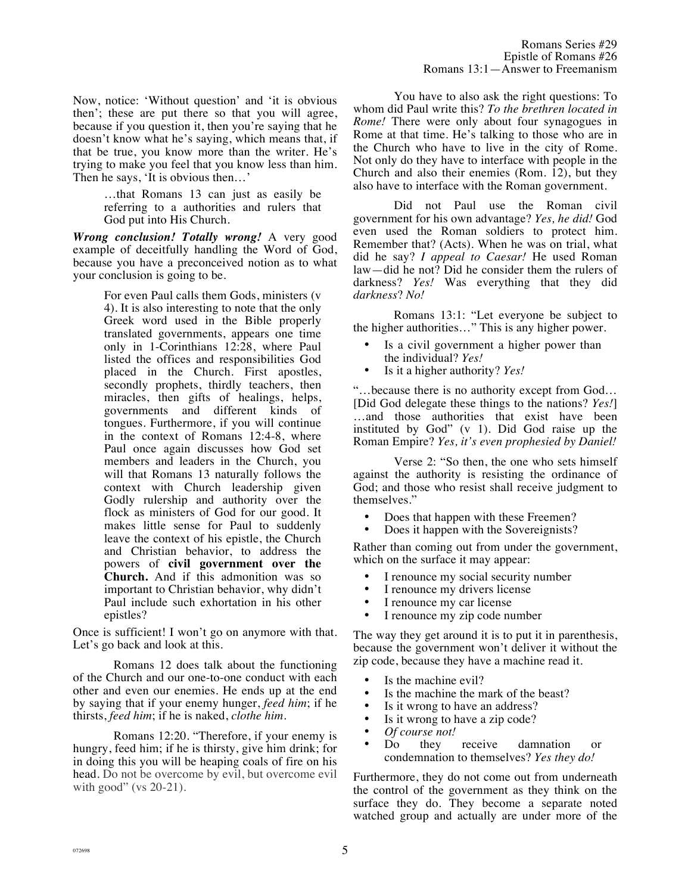Now, notice: 'Without question' and 'it is obvious then'; these are put there so that you will agree, because if you question it, then you're saying that he doesn't know what he's saying, which means that, if that be true, you know more than the writer. He's trying to make you feel that you know less than him. Then he says, 'It is obvious then…'

> …that Romans 13 can just as easily be referring to a authorities and rulers that God put into His Church.

*Wrong conclusion! Totally wrong!* A very good example of deceitfully handling the Word of God, because you have a preconceived notion as to what your conclusion is going to be.

> For even Paul calls them Gods, ministers (v 4). It is also interesting to note that the only Greek word used in the Bible properly translated governments, appears one time only in 1-Corinthians 12:28, where Paul listed the offices and responsibilities God placed in the Church. First apostles, secondly prophets, thirdly teachers, then miracles, then gifts of healings, helps, governments and different kinds of tongues. Furthermore, if you will continue in the context of Romans 12:4-8, where Paul once again discusses how God set members and leaders in the Church, you will that Romans 13 naturally follows the context with Church leadership given Godly rulership and authority over the flock as ministers of God for our good. It makes little sense for Paul to suddenly leave the context of his epistle, the Church and Christian behavior, to address the powers of **civil government over the Church.** And if this admonition was so important to Christian behavior, why didn't Paul include such exhortation in his other epistles?

Once is sufficient! I won't go on anymore with that. Let's go back and look at this.

Romans 12 does talk about the functioning of the Church and our one-to-one conduct with each other and even our enemies. He ends up at the end by saying that if your enemy hunger, *feed him*; if he thirsts, *feed him*; if he is naked, *clothe him*.

Romans 12:20. "Therefore, if your enemy is hungry, feed him; if he is thirsty, give him drink; for in doing this you will be heaping coals of fire on his head. Do not be overcome by evil, but overcome evil with good" (vs 20-21).

You have to also ask the right questions: To whom did Paul write this? *To the brethren located in Rome!* There were only about four synagogues in Rome at that time. He's talking to those who are in the Church who have to live in the city of Rome. Not only do they have to interface with people in the Church and also their enemies (Rom. 12), but they also have to interface with the Roman government.

Did not Paul use the Roman civil government for his own advantage? *Yes, he did!* God even used the Roman soldiers to protect him. Remember that? (Acts). When he was on trial, what did he say? *I appeal to Caesar!* He used Roman law—did he not? Did he consider them the rulers of darkness? *Yes!* Was everything that they did *darkness*? *No!*

Romans 13:1: "Let everyone be subject to the higher authorities…" This is any higher power.

- Is a civil government a higher power than the individual? *Yes!*
- Is it a higher authority? *Yes!*

"…because there is no authority except from God… [Did God delegate these things to the nations? *Yes!*] …and those authorities that exist have been instituted by God" (v 1). Did God raise up the Roman Empire? *Yes, it's even prophesied by Daniel!*

Verse 2: "So then, the one who sets himself against the authority is resisting the ordinance of God; and those who resist shall receive judgment to themselves."

- Does that happen with these Freemen?
- Does it happen with the Sovereignists?

Rather than coming out from under the government, which on the surface it may appear:

- I renounce my social security number<br>• I renounce my drivers license
- I renounce my drivers license
- I renounce my car license
- I renounce my zip code number

The way they get around it is to put it in parenthesis, because the government won't deliver it without the zip code, because they have a machine read it.

- Is the machine evil?
- Is the machine the mark of the beast?
- Is it wrong to have an address?
- Is it wrong to have a zip code?<br>• Of course not!
- 
- *Of course not!*<br>Do they receive damnation or condemnation to themselves? *Yes they do!*

Furthermore, they do not come out from underneath the control of the government as they think on the surface they do. They become a separate noted watched group and actually are under more of the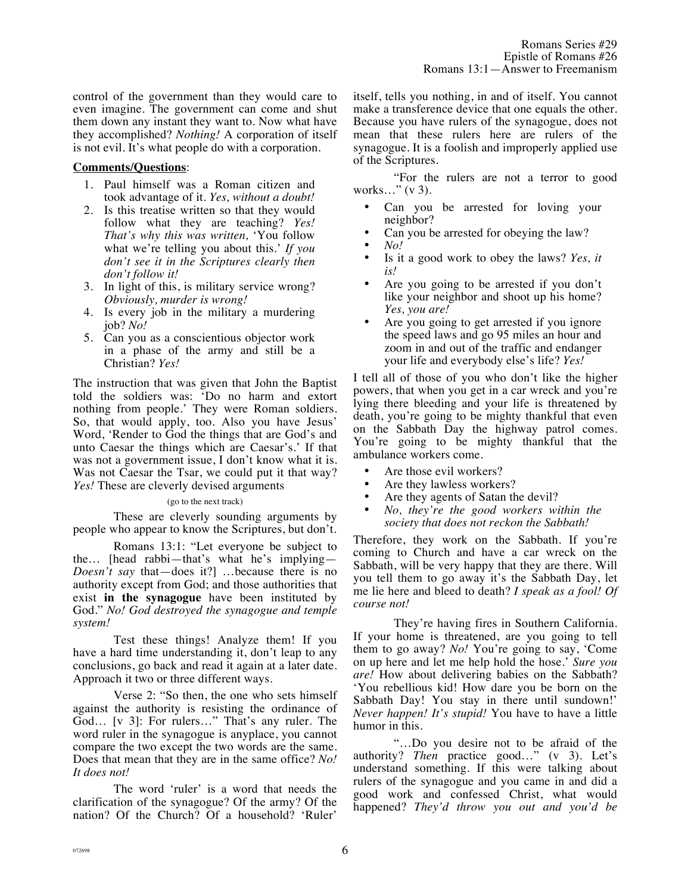control of the government than they would care to even imagine. The government can come and shut them down any instant they want to. Now what have they accomplished? *Nothing!* A corporation of itself is not evil. It's what people do with a corporation.

#### **Comments/Questions**:

- 1. Paul himself was a Roman citizen and took advantage of it. *Yes, without a doubt!*
- 2. Is this treatise written so that they would follow what they are teaching? *Yes! That's why this was written,* 'You follow what we're telling you about this.' *If you don't see it in the Scriptures clearly then don't follow it!*
- 3. In light of this, is military service wrong? *Obviously, murder is wrong!*
- 4. Is every job in the military a murdering job? *No!*
- 5. Can you as a conscientious objector work in a phase of the army and still be a Christian? *Yes!*

The instruction that was given that John the Baptist told the soldiers was: 'Do no harm and extort nothing from people.' They were Roman soldiers. So, that would apply, too. Also you have Jesus' Word, 'Render to God the things that are God's and unto Caesar the things which are Caesar's.' If that was not a government issue, I don't know what it is. Was not Caesar the Tsar, we could put it that way? *Yes!* These are cleverly devised arguments

(go to the next track)

These are cleverly sounding arguments by people who appear to know the Scriptures, but don't.

Romans 13:1: "Let everyone be subject to the… [head rabbi—that's what he's implying— *Doesn't say* that—does it?] …because there is no authority except from God; and those authorities that exist **in the synagogue** have been instituted by God." *No! God destroyed the synagogue and temple system!*

Test these things! Analyze them! If you have a hard time understanding it, don't leap to any conclusions, go back and read it again at a later date. Approach it two or three different ways.

Verse 2: "So then, the one who sets himself against the authority is resisting the ordinance of God… [v 3]: For rulers…" That's any ruler. The word ruler in the synagogue is anyplace, you cannot compare the two except the two words are the same. Does that mean that they are in the same office? *No! It does not!*

The word 'ruler' is a word that needs the clarification of the synagogue? Of the army? Of the nation? Of the Church? Of a household? 'Ruler'

itself, tells you nothing, in and of itself. You cannot make a transference device that one equals the other. Because you have rulers of the synagogue, does not mean that these rulers here are rulers of the synagogue. It is a foolish and improperly applied use of the Scriptures.

"For the rulers are not a terror to good works…" (v 3).

- Can you be arrested for loving your neighbor?
- Can you be arrested for obeying the law?
- *No!*
- Is it a good work to obey the laws? *Yes, it is!*
- Are you going to be arrested if you don't like your neighbor and shoot up his home? *Yes, you are!*
- Are you going to get arrested if you ignore the speed laws and go 95 miles an hour and zoom in and out of the traffic and endanger your life and everybody else's life? *Yes!*

I tell all of those of you who don't like the higher powers, that when you get in a car wreck and you're lying there bleeding and your life is threatened by death, you're going to be mighty thankful that even on the Sabbath Day the highway patrol comes. You're going to be mighty thankful that the ambulance workers come.

- Are those evil workers?
- Are they lawless workers?
- Are they agents of Satan the devil?
- *No, they're the good workers within the society that does not reckon the Sabbath!*

Therefore, they work on the Sabbath. If you're coming to Church and have a car wreck on the Sabbath, will be very happy that they are there. Will you tell them to go away it's the Sabbath Day, let me lie here and bleed to death? *I speak as a fool! Of course not!*

They're having fires in Southern California. If your home is threatened, are you going to tell them to go away? *No!* You're going to say, 'Come on up here and let me help hold the hose.' *Sure you are!* How about delivering babies on the Sabbath? 'You rebellious kid! How dare you be born on the Sabbath Day! You stay in there until sundown!' *Never happen! It's stupid!* You have to have a little humor in this.

"…Do you desire not to be afraid of the authority? *Then* practice good…" (v 3). Let's understand something. If this were talking about rulers of the synagogue and you came in and did a good work and confessed Christ, what would happened? *They'd throw you out and you'd be*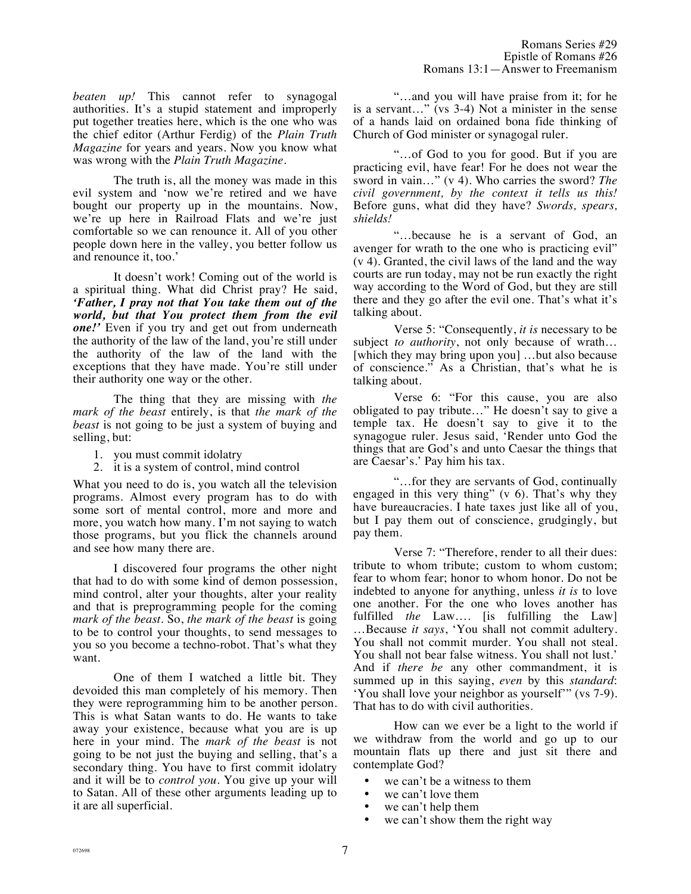*beaten up!* This cannot refer to synagogal authorities. It's a stupid statement and improperly put together treaties here, which is the one who was the chief editor (Arthur Ferdig) of the *Plain Truth Magazine* for years and years. Now you know what was wrong with the *Plain Truth Magazine*.

The truth is, all the money was made in this evil system and 'now we're retired and we have bought our property up in the mountains. Now, we're up here in Railroad Flats and we're just comfortable so we can renounce it. All of you other people down here in the valley, you better follow us and renounce it, too.'

It doesn't work! Coming out of the world is a spiritual thing. What did Christ pray? He said, *'Father, I pray not that You take them out of the world, but that You protect them from the evil one!'* Even if you try and get out from underneath the authority of the law of the land, you're still under the authority of the law of the land with the exceptions that they have made. You're still under their authority one way or the other.

The thing that they are missing with *the mark of the beast* entirely, is that *the mark of the beast* is not going to be just a system of buying and selling, but:

- 1. you must commit idolatry
- 2. it is a system of control, mind control

What you need to do is, you watch all the television programs. Almost every program has to do with some sort of mental control, more and more and more, you watch how many. I'm not saying to watch those programs, but you flick the channels around and see how many there are.

I discovered four programs the other night that had to do with some kind of demon possession, mind control, alter your thoughts, alter your reality and that is preprogramming people for the coming *mark of the beast*. So, *the mark of the beast* is going to be to control your thoughts, to send messages to you so you become a techno-robot. That's what they want.

One of them I watched a little bit. They devoided this man completely of his memory. Then they were reprogramming him to be another person. This is what Satan wants to do. He wants to take away your existence, because what you are is up here in your mind. The *mark of the beast* is not going to be not just the buying and selling, that's a secondary thing. You have to first commit idolatry and it will be to *control you*. You give up your will to Satan. All of these other arguments leading up to it are all superficial.

"…and you will have praise from it; for he is a servant…" (vs 3-4) Not a minister in the sense of a hands laid on ordained bona fide thinking of Church of God minister or synagogal ruler.

"…of God to you for good. But if you are practicing evil, have fear! For he does not wear the sword in vain…" (v 4). Who carries the sword? *The civil government, by the context it tells us this!* Before guns, what did they have? *Swords, spears, shields!*

"…because he is a servant of God, an avenger for wrath to the one who is practicing evil" (v 4). Granted, the civil laws of the land and the way courts are run today, may not be run exactly the right way according to the Word of God, but they are still there and they go after the evil one. That's what it's talking about.

Verse 5: "Consequently, *it is* necessary to be subject *to authority*, not only because of wrath… [which they may bring upon you] …but also because of conscience." As a Christian, that's what he is talking about.

Verse 6: "For this cause, you are also obligated to pay tribute…" He doesn't say to give a temple tax. He doesn't say to give it to the synagogue ruler. Jesus said, 'Render unto God the things that are God's and unto Caesar the things that are Caesar's.' Pay him his tax.

"…for they are servants of God, continually engaged in this very thing" (v 6). That's why they have bureaucracies. I hate taxes just like all of you, but I pay them out of conscience, grudgingly, but pay them.

Verse 7: "Therefore, render to all their dues: tribute to whom tribute; custom to whom custom; fear to whom fear; honor to whom honor. Do not be indebted to anyone for anything, unless *it is* to love one another. For the one who loves another has fulfilled *the* Law…. [is fulfilling the Law] …Because *it says*, 'You shall not commit adultery. You shall not commit murder. You shall not steal. You shall not bear false witness. You shall not lust.' And if *there be* any other commandment, it is summed up in this saying, *even* by this *standard*: 'You shall love your neighbor as yourself'" (vs 7-9). That has to do with civil authorities.

How can we ever be a light to the world if we withdraw from the world and go up to our mountain flats up there and just sit there and contemplate God?

- we can't be a witness to them
- we can't love them
- we can't help them
- we can't show them the right way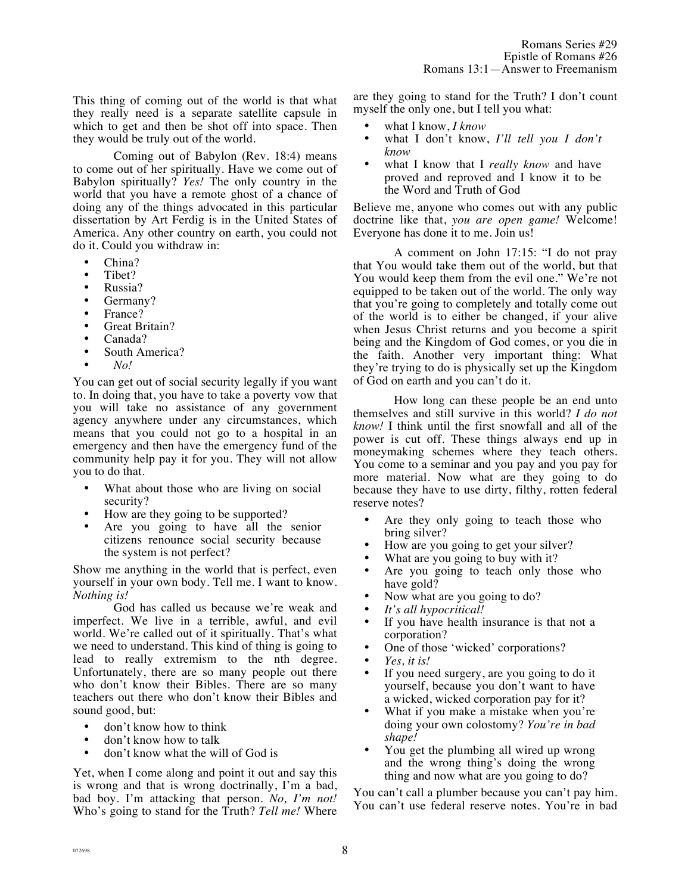This thing of coming out of the world is that what they really need is a separate satellite capsule in which to get and then be shot off into space. Then they would be truly out of the world.

Coming out of Babylon (Rev. 18:4) means to come out of her spiritually. Have we come out of Babylon spiritually? *Yes!* The only country in the world that you have a remote ghost of a chance of doing any of the things advocated in this particular dissertation by Art Ferdig is in the United States of America. Any other country on earth, you could not do it. Could you withdraw in:

- China?
- Tibet?
- Russia?
- Germany?
- France?
- Great Britain?
- Canada?
- South America?
- *No!*

You can get out of social security legally if you want to. In doing that, you have to take a poverty vow that you will take no assistance of any government agency anywhere under any circumstances, which means that you could not go to a hospital in an emergency and then have the emergency fund of the community help pay it for you. They will not allow you to do that.

- What about those who are living on social security?
- How are they going to be supported?
- Are you going to have all the senior citizens renounce social security because the system is not perfect?

Show me anything in the world that is perfect, even yourself in your own body. Tell me. I want to know. *Nothing is!*

God has called us because we're weak and imperfect. We live in a terrible, awful, and evil world. We're called out of it spiritually. That's what we need to understand. This kind of thing is going to lead to really extremism to the nth degree. Unfortunately, there are so many people out there who don't know their Bibles. There are so many teachers out there who don't know their Bibles and sound good, but:

- don't know how to think
- don't know how to talk
- don't know what the will of God is

Yet, when I come along and point it out and say this is wrong and that is wrong doctrinally, I'm a bad, bad boy. I'm attacking that person. *No, I'm not!* Who's going to stand for the Truth? *Tell me!* Where are they going to stand for the Truth? I don't count myself the only one, but I tell you what:

- what I know, *I know*
- what I don't know, *I'll tell you I don't know*
- what I know that I *really know* and have proved and reproved and I know it to be the Word and Truth of God

Believe me, anyone who comes out with any public doctrine like that, *you are open game!* Welcome! Everyone has done it to me. Join us!

A comment on John 17:15: "I do not pray that You would take them out of the world, but that You would keep them from the evil one." We're not equipped to be taken out of the world. The only way that you're going to completely and totally come out of the world is to either be changed, if your alive when Jesus Christ returns and you become a spirit being and the Kingdom of God comes, or you die in the faith. Another very important thing: What they're trying to do is physically set up the Kingdom of God on earth and you can't do it.

How long can these people be an end unto themselves and still survive in this world? *I do not know!* I think until the first snowfall and all of the power is cut off. These things always end up in moneymaking schemes where they teach others. You come to a seminar and you pay and you pay for more material. Now what are they going to do because they have to use dirty, filthy, rotten federal reserve notes?

- Are they only going to teach those who bring silver?
- How are you going to get your silver?
- What are you going to buy with it?
- Are you going to teach only those who have gold?
- Now what are you going to do?
- *It's all hypocritical!*
- If you have health insurance is that not a corporation?
- One of those 'wicked' corporations?
- *Yes, it is!*
- If you need surgery, are you going to do it yourself, because you don't want to have a wicked, wicked corporation pay for it?
- What if you make a mistake when you're doing your own colostomy? *You're in bad shape!*
- You get the plumbing all wired up wrong and the wrong thing's doing the wrong thing and now what are you going to do?

You can't call a plumber because you can't pay him. You can't use federal reserve notes. You're in bad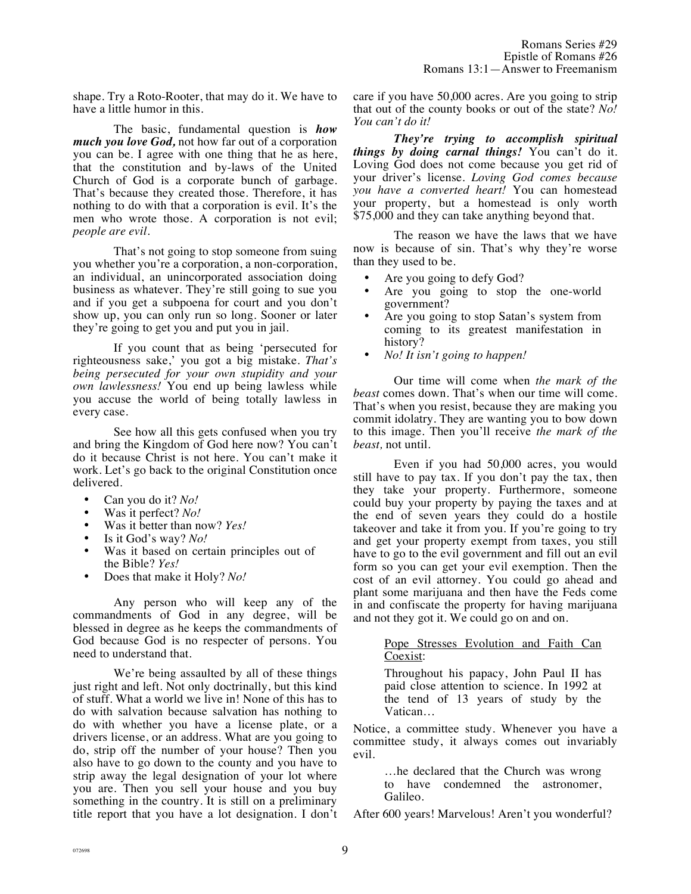shape. Try a Roto-Rooter, that may do it. We have to have a little humor in this.

The basic, fundamental question is *how much you love God,* not how far out of a corporation you can be. I agree with one thing that he as here, that the constitution and by-laws of the United Church of God is a corporate bunch of garbage. That's because they created those. Therefore, it has nothing to do with that a corporation is evil. It's the men who wrote those. A corporation is not evil; *people are evil.*

That's not going to stop someone from suing you whether you're a corporation, a non-corporation, an individual, an unincorporated association doing business as whatever. They're still going to sue you and if you get a subpoena for court and you don't show up, you can only run so long. Sooner or later they're going to get you and put you in jail.

If you count that as being 'persecuted for righteousness sake,' you got a big mistake. *That's being persecuted for your own stupidity and your own lawlessness!* You end up being lawless while you accuse the world of being totally lawless in every case.

See how all this gets confused when you try and bring the Kingdom of God here now? You can't do it because Christ is not here. You can't make it work. Let's go back to the original Constitution once delivered.

- Can you do it? *No!*
- Was it perfect? *No!*
- Was it better than now? *Yes!*
- Is it God's way? *No!*
- Was it based on certain principles out of the Bible? *Yes!*
- Does that make it Holy? *No!*

Any person who will keep any of the commandments of God in any degree, will be blessed in degree as he keeps the commandments of God because God is no respecter of persons. You need to understand that.

We're being assaulted by all of these things just right and left. Not only doctrinally, but this kind of stuff. What a world we live in! None of this has to do with salvation because salvation has nothing to do with whether you have a license plate, or a drivers license, or an address. What are you going to do, strip off the number of your house? Then you also have to go down to the county and you have to strip away the legal designation of your lot where you are. Then you sell your house and you buy something in the country. It is still on a preliminary title report that you have a lot designation. I don't care if you have 50,000 acres. Are you going to strip that out of the county books or out of the state? *No! You can't do it!*

*They're trying to accomplish spiritual things by doing carnal things!* You can't do it. Loving God does not come because you get rid of your driver's license. *Loving God comes because you have a converted heart!* You can homestead your property, but a homestead is only worth \$75,000 and they can take anything beyond that.

The reason we have the laws that we have now is because of sin. That's why they're worse than they used to be.

- Are you going to defy God?
- Are you going to stop the one-world government?
- Are you going to stop Satan's system from coming to its greatest manifestation in history?
- *No! It isn't going to happen!*

Our time will come when *the mark of the beast* comes down. That's when our time will come. That's when you resist, because they are making you commit idolatry. They are wanting you to bow down to this image. Then you'll receive *the mark of the beast,* not until.

Even if you had 50,000 acres, you would still have to pay tax. If you don't pay the tax, then they take your property. Furthermore, someone could buy your property by paying the taxes and at the end of seven years they could do a hostile takeover and take it from you. If you're going to try and get your property exempt from taxes, you still have to go to the evil government and fill out an evil form so you can get your evil exemption. Then the cost of an evil attorney. You could go ahead and plant some marijuana and then have the Feds come in and confiscate the property for having marijuana and not they got it. We could go on and on.

## Pope Stresses Evolution and Faith Can Coexist:

Throughout his papacy, John Paul II has paid close attention to science. In 1992 at the tend of 13 years of study by the Vatican…

Notice, a committee study. Whenever you have a committee study, it always comes out invariably evil.

> …he declared that the Church was wrong to have condemned the astronomer, Galileo.

After 600 years! Marvelous! Aren't you wonderful?